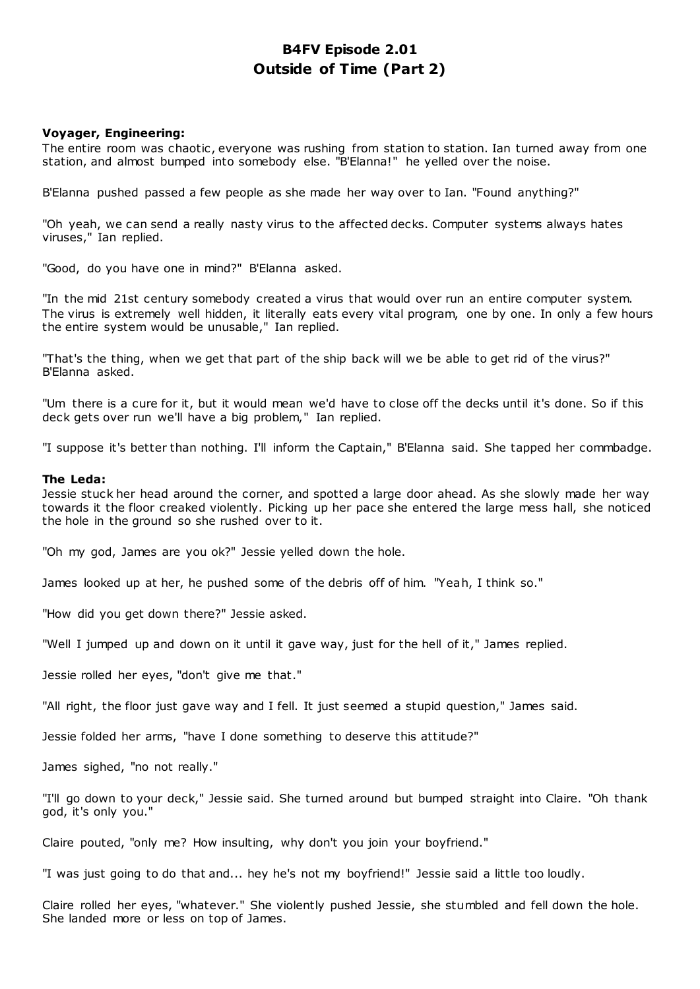# **B4FV Episode 2.01 Outside of Time (Part 2)**

# **Voyager, Engineering:**

The entire room was chaotic, everyone was rushing from station to station. Ian turned away from one station, and almost bumped into somebody else. "B'Elanna!" he yelled over the noise.

B'Elanna pushed passed a few people as she made her way over to Ian. "Found anything?"

"Oh yeah, we can send a really nasty virus to the affected decks. Computer systems always hates viruses," Ian replied.

"Good, do you have one in mind?" B'Elanna asked.

"In the mid 21st century somebody created a virus that would over run an entire computer system. The virus is extremely well hidden, it literally eats every vital program, one by one. In only a few hours the entire system would be unusable," Ian replied.

"That's the thing, when we get that part of the ship back will we be able to get rid of the virus?" B'Elanna asked.

"Um there is a cure for it, but it would mean we'd have to close off the decks until it's done. So if this deck gets over run we'll have a big problem," Ian replied.

"I suppose it's better than nothing. I'll inform the Captain," B'Elanna said. She tapped her commbadge.

## **The Leda:**

Jessie stuck her head around the corner, and spotted a large door ahead. As she slowly made her way towards it the floor creaked violently. Picking up her pace she entered the large mess hall, she noticed the hole in the ground so she rushed over to it.

"Oh my god, James are you ok?" Jessie yelled down the hole.

James looked up at her, he pushed some of the debris off of him. "Yeah, I think so."

"How did you get down there?" Jessie asked.

"Well I jumped up and down on it until it gave way, just for the hell of it," James replied.

Jessie rolled her eyes, "don't give me that."

"All right, the floor just gave way and I fell. It just seemed a stupid question," James said.

Jessie folded her arms, "have I done something to deserve this attitude?"

James sighed, "no not really."

"I'll go down to your deck," Jessie said. She turned around but bumped straight into Claire. "Oh thank god, it's only you."

Claire pouted, "only me? How insulting, why don't you join your boyfriend."

"I was just going to do that and... hey he's not my boyfriend!" Jessie said a little too loudly.

Claire rolled her eyes, "whatever." She violently pushed Jessie, she stumbled and fell down the hole. She landed more or less on top of James.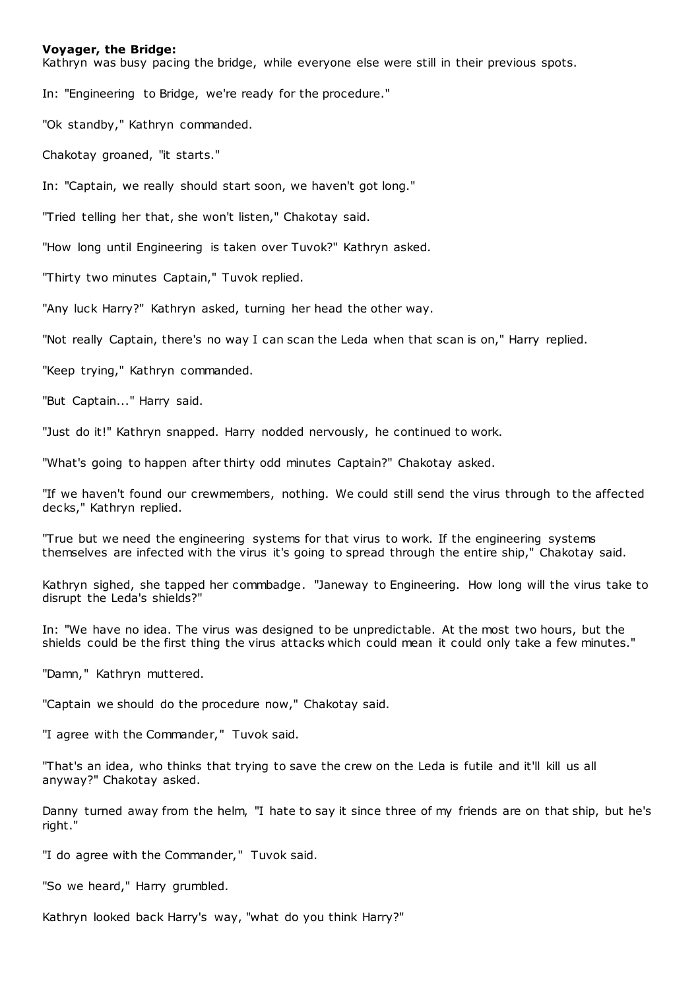#### **Voyager, the Bridge:**

Kathryn was busy pacing the bridge, while everyone else were still in their previous spots.

In: "Engineering to Bridge, we're ready for the procedure."

"Ok standby," Kathryn commanded.

Chakotay groaned, "it starts."

In: "Captain, we really should start soon, we haven't got long."

"Tried telling her that, she won't listen," Chakotay said.

"How long until Engineering is taken over Tuvok?" Kathryn asked.

"Thirty two minutes Captain," Tuvok replied.

"Any luck Harry?" Kathryn asked, turning her head the other way.

"Not really Captain, there's no way I can scan the Leda when that scan is on," Harry replied.

"Keep trying," Kathryn commanded.

"But Captain..." Harry said.

"Just do it!" Kathryn snapped. Harry nodded nervously, he continued to work.

"What's going to happen after thirty odd minutes Captain?" Chakotay asked.

"If we haven't found our crewmembers, nothing. We could still send the virus through to the affected decks," Kathryn replied.

"True but we need the engineering systems for that virus to work. If the engineering systems themselves are infected with the virus it's going to spread through the entire ship," Chakotay said.

Kathryn sighed, she tapped her commbadge. "Janeway to Engineering. How long will the virus take to disrupt the Leda's shields?"

In: "We have no idea. The virus was designed to be unpredictable. At the most two hours, but the shields could be the first thing the virus attacks which could mean it could only take a few minutes."

"Damn," Kathryn muttered.

"Captain we should do the procedure now," Chakotay said.

"I agree with the Commander," Tuvok said.

"That's an idea, who thinks that trying to save the crew on the Leda is futile and it'll kill us all anyway?" Chakotay asked.

Danny turned away from the helm, "I hate to say it since three of my friends are on that ship, but he's right."

"I do agree with the Commander," Tuvok said.

"So we heard," Harry grumbled.

Kathryn looked back Harry's way, "what do you think Harry?"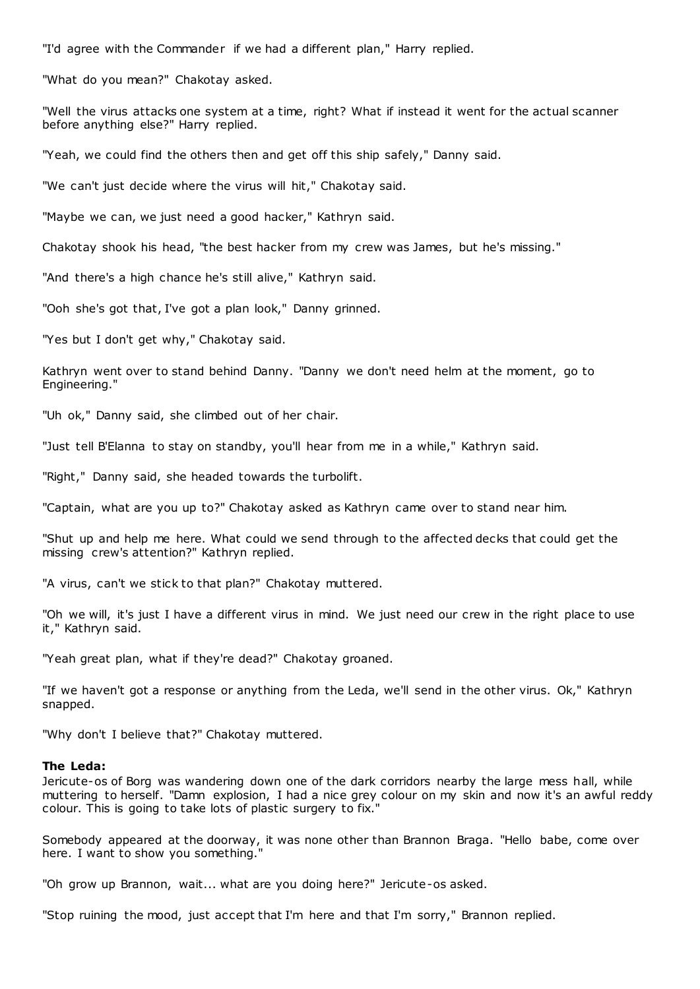"I'd agree with the Commander if we had a different plan," Harry replied.

"What do you mean?" Chakotay asked.

"Well the virus attacks one system at a time, right? What if instead it went for the actual scanner before anything else?" Harry replied.

"Yeah, we could find the others then and get off this ship safely," Danny said.

"We can't just decide where the virus will hit," Chakotay said.

"Maybe we can, we just need a good hacker," Kathryn said.

Chakotay shook his head, "the best hacker from my crew was James, but he's missing."

"And there's a high chance he's still alive," Kathryn said.

"Ooh she's got that, I've got a plan look," Danny grinned.

"Yes but I don't get why," Chakotay said.

Kathryn went over to stand behind Danny. "Danny we don't need helm at the moment, go to Engineering."

"Uh ok," Danny said, she climbed out of her chair.

"Just tell B'Elanna to stay on standby, you'll hear from me in a while," Kathryn said.

"Right," Danny said, she headed towards the turbolift.

"Captain, what are you up to?" Chakotay asked as Kathryn came over to stand near him.

"Shut up and help me here. What could we send through to the affected decks that could get the missing crew's attention?" Kathryn replied.

"A virus, can't we stick to that plan?" Chakotay muttered.

"Oh we will, it's just I have a different virus in mind. We just need our crew in the right place to use it," Kathryn said.

"Yeah great plan, what if they're dead?" Chakotay groaned.

"If we haven't got a response or anything from the Leda, we'll send in the other virus. Ok," Kathryn snapped.

"Why don't I believe that?" Chakotay muttered.

## **The Leda:**

Jericute-os of Borg was wandering down one of the dark corridors nearby the large mess hall, while muttering to herself. "Damn explosion, I had a nice grey colour on my skin and now it's an awful reddy colour. This is going to take lots of plastic surgery to fix."

Somebody appeared at the doorway, it was none other than Brannon Braga. "Hello babe, come over here. I want to show you something."

"Oh grow up Brannon, wait... what are you doing here?" Jericute-os asked.

"Stop ruining the mood, just accept that I'm here and that I'm sorry," Brannon replied.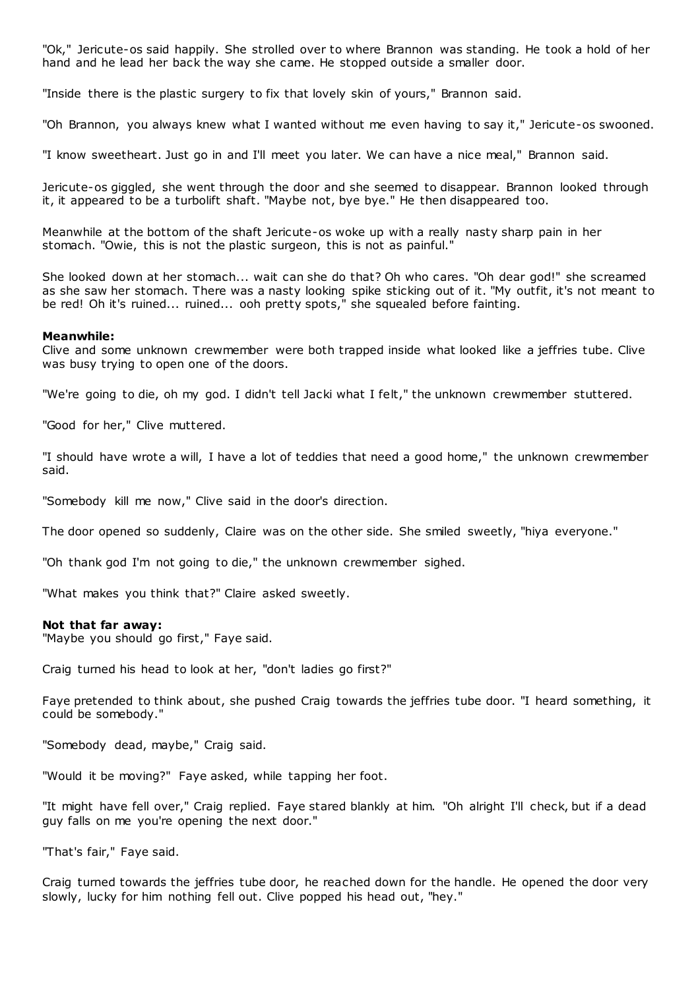"Ok," Jericute-os said happily. She strolled over to where Brannon was standing. He took a hold of her hand and he lead her back the way she came. He stopped outside a smaller door.

"Inside there is the plastic surgery to fix that lovely skin of yours," Brannon said.

"Oh Brannon, you always knew what I wanted without me even having to say it," Jericute-os swooned.

"I know sweetheart. Just go in and I'll meet you later. We can have a nice meal," Brannon said.

Jericute-os giggled, she went through the door and she seemed to disappear. Brannon looked through it, it appeared to be a turbolift shaft. "Maybe not, bye bye." He then disappeared too.

Meanwhile at the bottom of the shaft Jericute-os woke up with a really nasty sharp pain in her stomach. "Owie, this is not the plastic surgeon, this is not as painful."

She looked down at her stomach... wait can she do that? Oh who cares. "Oh dear god!" she screamed as she saw her stomach. There was a nasty looking spike sticking out of it. "My outfit, it's not meant to be red! Oh it's ruined... ruined... ooh pretty spots," she squealed before fainting.

#### **Meanwhile:**

Clive and some unknown crewmember were both trapped inside what looked like a jeffries tube. Clive was busy trying to open one of the doors.

"We're going to die, oh my god. I didn't tell Jacki what I felt," the unknown crewmember stuttered.

"Good for her," Clive muttered.

"I should have wrote a will, I have a lot of teddies that need a good home," the unknown crewmember said.

"Somebody kill me now," Clive said in the door's direction.

The door opened so suddenly, Claire was on the other side. She smiled sweetly, "hiya everyone."

"Oh thank god I'm not going to die," the unknown crewmember sighed.

"What makes you think that?" Claire asked sweetly.

#### **Not that far away:**

"Maybe you should go first," Faye said.

Craig turned his head to look at her, "don't ladies go first?"

Faye pretended to think about, she pushed Craig towards the jeffries tube door. "I heard something, it could be somebody."

"Somebody dead, maybe," Craig said.

"Would it be moving?" Faye asked, while tapping her foot.

"It might have fell over," Craig replied. Faye stared blankly at him. "Oh alright I'll check, but if a dead guy falls on me you're opening the next door."

"That's fair," Faye said.

Craig turned towards the jeffries tube door, he reached down for the handle. He opened the door very slowly, lucky for him nothing fell out. Clive popped his head out, "hey."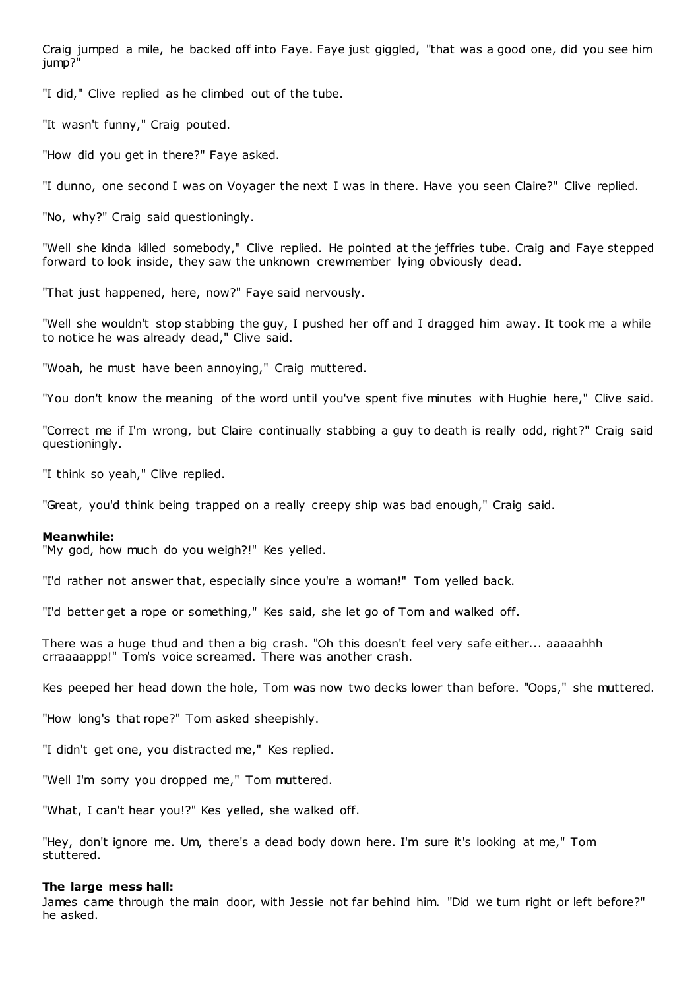Craig jumped a mile, he backed off into Faye. Faye just giggled, "that was a good one, did you see him jump?"

"I did," Clive replied as he climbed out of the tube.

"It wasn't funny," Craig pouted.

"How did you get in there?" Faye asked.

"I dunno, one second I was on Voyager the next I was in there. Have you seen Claire?" Clive replied.

"No, why?" Craig said questioningly.

"Well she kinda killed somebody," Clive replied. He pointed at the jeffries tube. Craig and Faye stepped forward to look inside, they saw the unknown crewmember lying obviously dead.

"That just happened, here, now?" Faye said nervously.

"Well she wouldn't stop stabbing the guy, I pushed her off and I dragged him away. It took me a while to notice he was already dead," Clive said.

"Woah, he must have been annoying," Craig muttered.

"You don't know the meaning of the word until you've spent five minutes with Hughie here," Clive said.

"Correct me if I'm wrong, but Claire continually stabbing a guy to death is really odd, right?" Craig said questioningly.

"I think so yeah," Clive replied.

"Great, you'd think being trapped on a really creepy ship was bad enough," Craig said.

#### **Meanwhile:**

"My god, how much do you weigh?!" Kes yelled.

"I'd rather not answer that, especially since you're a woman!" Tom yelled back.

"I'd better get a rope or something," Kes said, she let go of Tom and walked off.

There was a huge thud and then a big crash. "Oh this doesn't feel very safe either... aaaaahhh crraaaappp!" Tom's voice screamed. There was another crash.

Kes peeped her head down the hole, Tom was now two decks lower than before. "Oops," she muttered.

"How long's that rope?" Tom asked sheepishly.

"I didn't get one, you distracted me," Kes replied.

"Well I'm sorry you dropped me," Tom muttered.

"What, I can't hear you!?" Kes yelled, she walked off.

"Hey, don't ignore me. Um, there's a dead body down here. I'm sure it's looking at me," Tom stuttered.

#### **The large mess hall:**

James came through the main door, with Jessie not far behind him. "Did we turn right or left before?" he asked.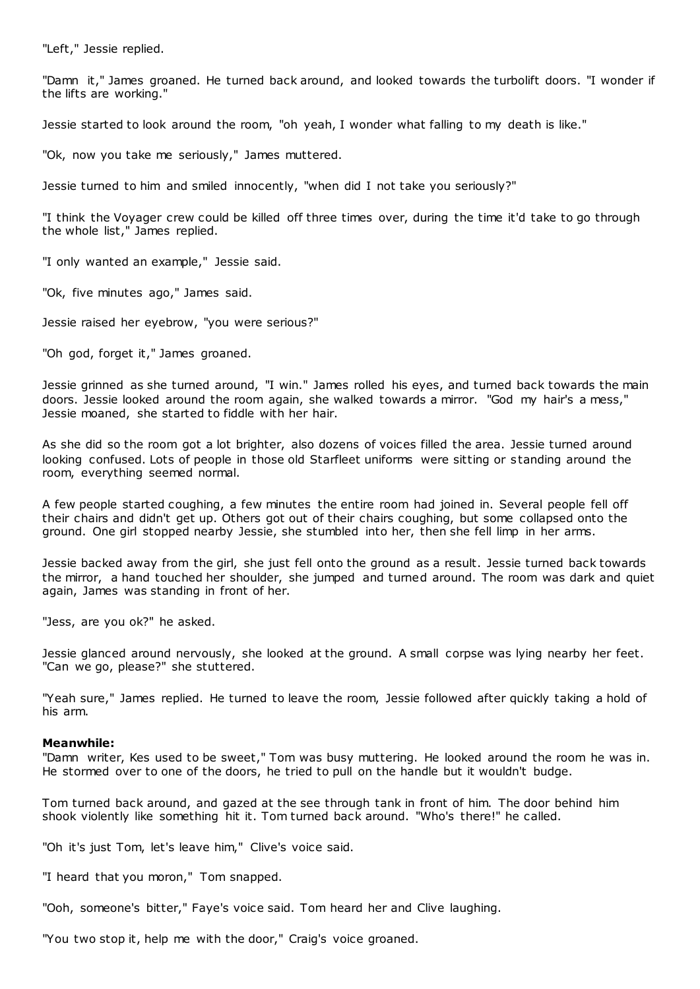"Left," Jessie replied.

"Damn it," James groaned. He turned back around, and looked towards the turbolift doors. "I wonder if the lifts are working."

Jessie started to look around the room, "oh yeah, I wonder what falling to my death is like."

"Ok, now you take me seriously," James muttered.

Jessie turned to him and smiled innocently, "when did I not take you seriously?"

"I think the Voyager crew could be killed off three times over, during the time it'd take to go through the whole list," James replied.

"I only wanted an example," Jessie said.

"Ok, five minutes ago," James said.

Jessie raised her eyebrow, "you were serious?"

"Oh god, forget it," James groaned.

Jessie grinned as she turned around, "I win." James rolled his eyes, and turned back towards the main doors. Jessie looked around the room again, she walked towards a mirror. "God my hair's a mess," Jessie moaned, she started to fiddle with her hair.

As she did so the room got a lot brighter, also dozens of voices filled the area. Jessie turned around looking confused. Lots of people in those old Starfleet uniforms were sitting or standing around the room, everything seemed normal.

A few people started coughing, a few minutes the entire room had joined in. Several people fell off their chairs and didn't get up. Others got out of their chairs coughing, but some collapsed onto the ground. One girl stopped nearby Jessie, she stumbled into her, then she fell limp in her arms.

Jessie backed away from the girl, she just fell onto the ground as a result. Jessie turned back towards the mirror, a hand touched her shoulder, she jumped and turned around. The room was dark and quiet again, James was standing in front of her.

"Jess, are you ok?" he asked.

Jessie glanced around nervously, she looked at the ground. A small corpse was lying nearby her feet. "Can we go, please?" she stuttered.

"Yeah sure," James replied. He turned to leave the room, Jessie followed after quickly taking a hold of his arm.

# **Meanwhile:**

"Damn writer, Kes used to be sweet," Tom was busy muttering. He looked around the room he was in. He stormed over to one of the doors, he tried to pull on the handle but it wouldn't budge.

Tom turned back around, and gazed at the see through tank in front of him. The door behind him shook violently like something hit it. Tom turned back around. "Who's there!" he called.

"Oh it's just Tom, let's leave him," Clive's voice said.

"I heard that you moron," Tom snapped.

"Ooh, someone's bitter," Faye's voice said. Tom heard her and Clive laughing.

"You two stop it, help me with the door," Craig's voice groaned.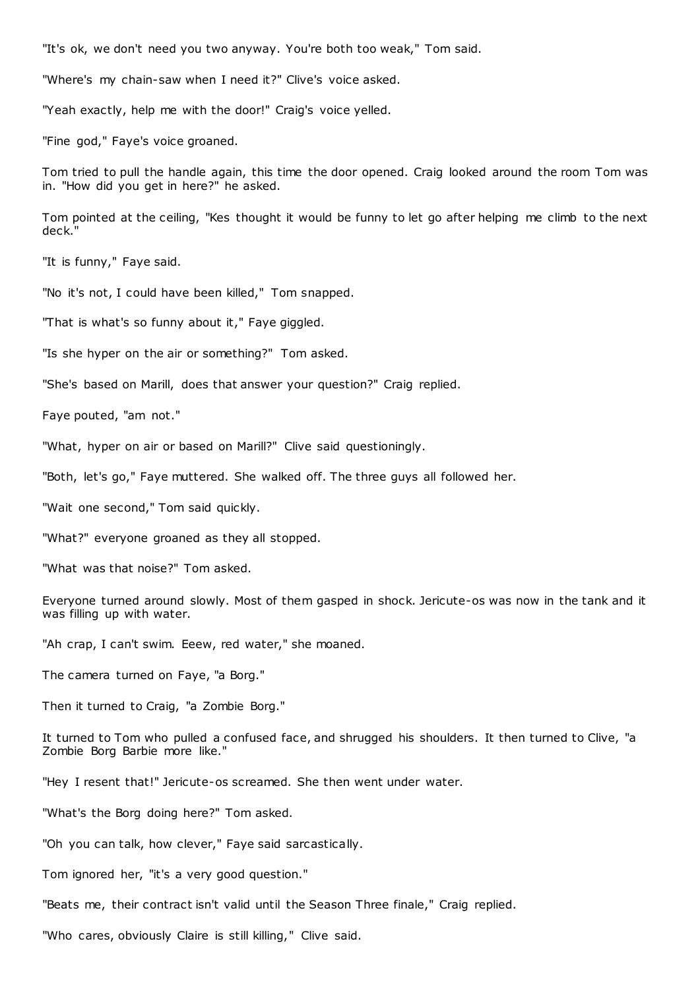"It's ok, we don't need you two anyway. You're both too weak," Tom said.

"Where's my chain-saw when I need it?" Clive's voice asked.

"Yeah exactly, help me with the door!" Craig's voice yelled.

"Fine god," Faye's voice groaned.

Tom tried to pull the handle again, this time the door opened. Craig looked around the room Tom was in. "How did you get in here?" he asked.

Tom pointed at the ceiling, "Kes thought it would be funny to let go after helping me climb to the next deck."

"It is funny," Faye said.

"No it's not, I could have been killed," Tom snapped.

"That is what's so funny about it," Faye giggled.

"Is she hyper on the air or something?" Tom asked.

"She's based on Marill, does that answer your question?" Craig replied.

Faye pouted, "am not."

"What, hyper on air or based on Marill?" Clive said questioningly.

"Both, let's go," Faye muttered. She walked off. The three guys all followed her.

"Wait one second," Tom said quickly.

"What?" everyone groaned as they all stopped.

"What was that noise?" Tom asked.

Everyone turned around slowly. Most of them gasped in shock. Jericute-os was now in the tank and it was filling up with water.

"Ah crap, I can't swim. Eeew, red water," she moaned.

The camera turned on Faye, "a Borg."

Then it turned to Craig, "a Zombie Borg."

It turned to Tom who pulled a confused face, and shrugged his shoulders. It then turned to Clive, "a Zombie Borg Barbie more like."

"Hey I resent that!" Jericute-os screamed. She then went under water.

"What's the Borg doing here?" Tom asked.

"Oh you can talk, how clever," Faye said sarcastically.

Tom ignored her, "it's a very good question."

"Beats me, their contract isn't valid until the Season Three finale," Craig replied.

"Who cares, obviously Claire is still killing," Clive said.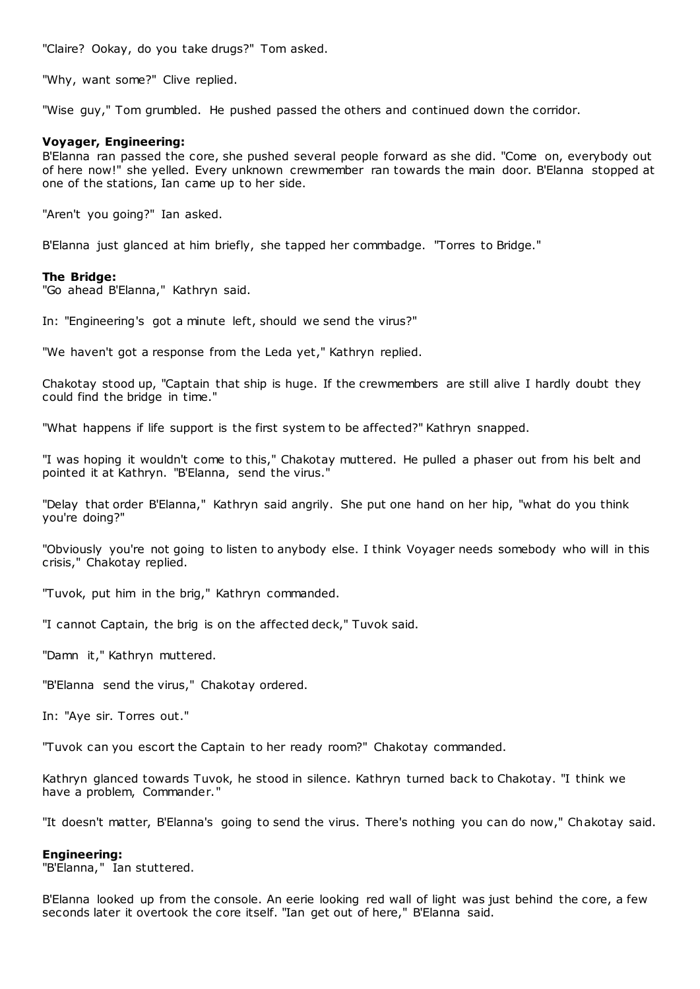"Claire? Ookay, do you take drugs?" Tom asked.

"Why, want some?" Clive replied.

"Wise guy," Tom grumbled. He pushed passed the others and continued down the corridor.

## **Voyager, Engineering:**

B'Elanna ran passed the core, she pushed several people forward as she did. "Come on, everybody out of here now!" she yelled. Every unknown crewmember ran towards the main door. B'Elanna stopped at one of the stations, Ian came up to her side.

"Aren't you going?" Ian asked.

B'Elanna just glanced at him briefly, she tapped her commbadge. "Torres to Bridge."

## **The Bridge:**

"Go ahead B'Elanna," Kathryn said.

In: "Engineering's got a minute left, should we send the virus?"

"We haven't got a response from the Leda yet," Kathryn replied.

Chakotay stood up, "Captain that ship is huge. If the crewmembers are still alive I hardly doubt they could find the bridge in time."

"What happens if life support is the first system to be affected?" Kathryn snapped.

"I was hoping it wouldn't come to this," Chakotay muttered. He pulled a phaser out from his belt and pointed it at Kathryn. "B'Elanna, send the virus."

"Delay that order B'Elanna," Kathryn said angrily. She put one hand on her hip, "what do you think you're doing?"

"Obviously you're not going to listen to anybody else. I think Voyager needs somebody who will in this crisis," Chakotay replied.

"Tuvok, put him in the brig," Kathryn commanded.

"I cannot Captain, the brig is on the affected deck," Tuvok said.

"Damn it," Kathryn muttered.

"B'Elanna send the virus," Chakotay ordered.

In: "Aye sir. Torres out."

"Tuvok can you escort the Captain to her ready room?" Chakotay commanded.

Kathryn glanced towards Tuvok, he stood in silence. Kathryn turned back to Chakotay. "I think we have a problem, Commander."

"It doesn't matter, B'Elanna's going to send the virus. There's nothing you can do now," Chakotay said.

#### **Engineering:**

"B'Elanna," Ian stuttered.

B'Elanna looked up from the console. An eerie looking red wall of light was just behind the core, a few seconds later it overtook the core itself. "Ian get out of here," B'Elanna said.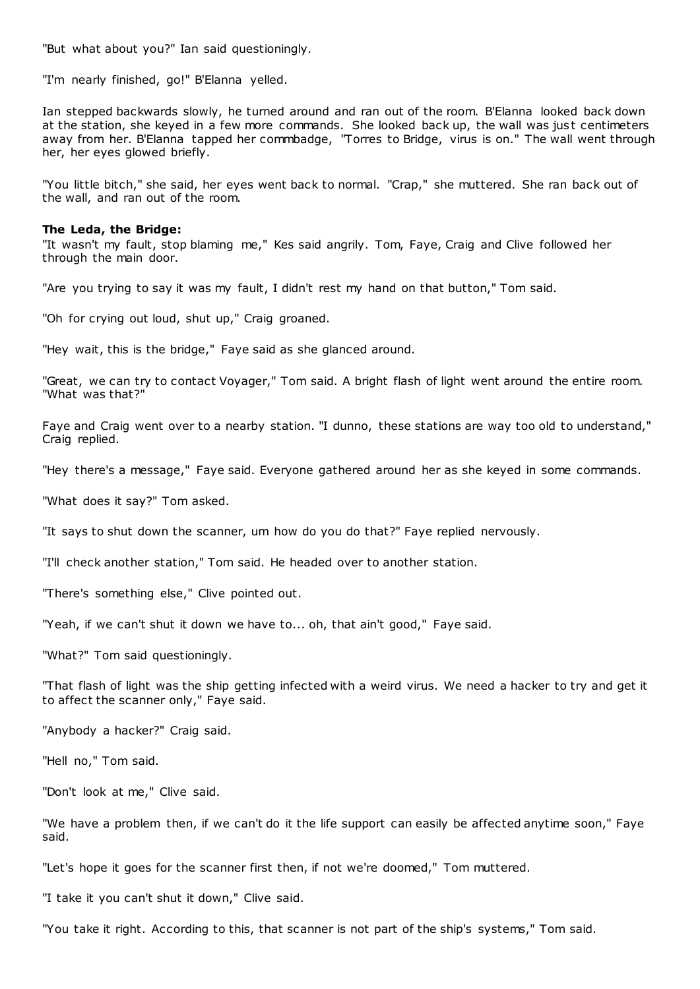"But what about you?" Ian said questioningly.

"I'm nearly finished, go!" B'Elanna yelled.

Ian stepped backwards slowly, he turned around and ran out of the room. B'Elanna looked back down at the station, she keyed in a few more commands. She looked back up, the wall was just centimeters away from her. B'Elanna tapped her commbadge, "Torres to Bridge, virus is on." The wall went through her, her eyes glowed briefly.

"You little bitch," she said, her eyes went back to normal. "Crap," she muttered. She ran back out of the wall, and ran out of the room.

#### **The Leda, the Bridge:**

"It wasn't my fault, stop blaming me," Kes said angrily. Tom, Faye, Craig and Clive followed her through the main door.

"Are you trying to say it was my fault, I didn't rest my hand on that button," Tom said.

"Oh for crying out loud, shut up," Craig groaned.

"Hey wait, this is the bridge," Faye said as she glanced around.

"Great, we can try to contact Voyager," Tom said. A bright flash of light went around the entire room. "What was that?"

Faye and Craig went over to a nearby station. "I dunno, these stations are way too old to understand," Craig replied.

"Hey there's a message," Faye said. Everyone gathered around her as she keyed in some commands.

"What does it say?" Tom asked.

"It says to shut down the scanner, um how do you do that?" Faye replied nervously.

"I'll check another station," Tom said. He headed over to another station.

"There's something else," Clive pointed out.

"Yeah, if we can't shut it down we have to... oh, that ain't good," Faye said.

"What?" Tom said questioningly.

"That flash of light was the ship getting infected with a weird virus. We need a hacker to try and get it to affect the scanner only," Faye said.

"Anybody a hacker?" Craig said.

"Hell no," Tom said.

"Don't look at me," Clive said.

"We have a problem then, if we can't do it the life support can easily be affected anytime soon," Faye said.

"Let's hope it goes for the scanner first then, if not we're doomed," Tom muttered.

"I take it you can't shut it down," Clive said.

"You take it right. According to this, that scanner is not part of the ship's systems," Tom said.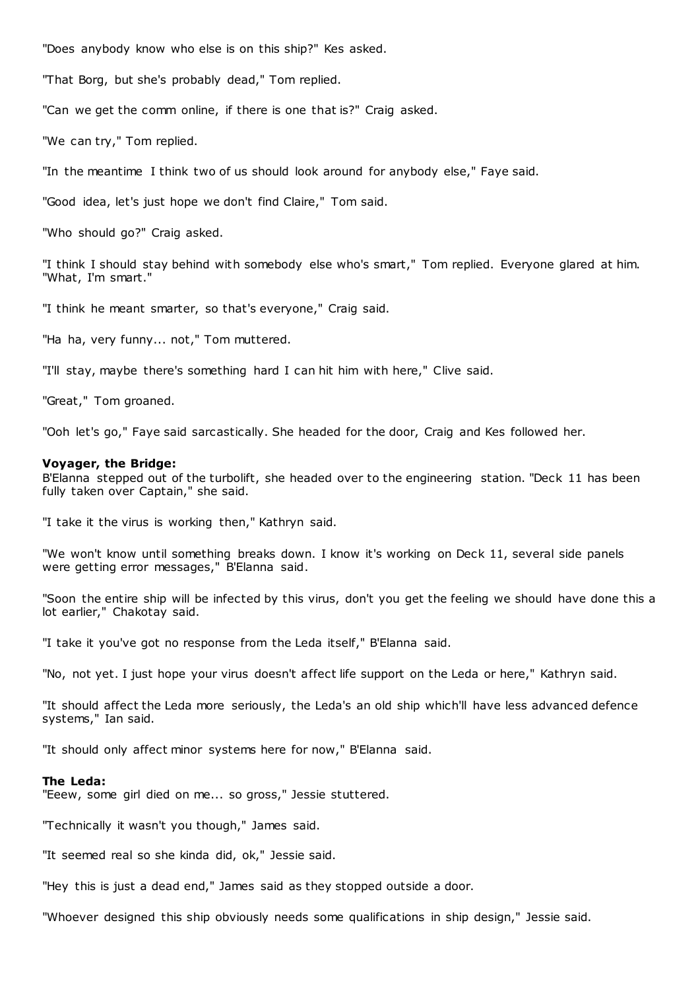"Does anybody know who else is on this ship?" Kes asked.

"That Borg, but she's probably dead," Tom replied.

"Can we get the comm online, if there is one that is?" Craig asked.

"We can try," Tom replied.

"In the meantime I think two of us should look around for anybody else," Faye said.

"Good idea, let's just hope we don't find Claire," Tom said.

"Who should go?" Craig asked.

"I think I should stay behind with somebody else who's smart," Tom replied. Everyone glared at him. "What, I'm smart."

"I think he meant smarter, so that's everyone," Craig said.

"Ha ha, very funny... not," Tom muttered.

"I'll stay, maybe there's something hard I can hit him with here," Clive said.

"Great," Tom groaned.

"Ooh let's go," Faye said sarcastically. She headed for the door, Craig and Kes followed her.

#### **Voyager, the Bridge:**

B'Elanna stepped out of the turbolift, she headed over to the engineering station. "Deck 11 has been fully taken over Captain," she said.

"I take it the virus is working then," Kathryn said.

"We won't know until something breaks down. I know it's working on Deck 11, several side panels were getting error messages," B'Elanna said.

"Soon the entire ship will be infected by this virus, don't you get the feeling we should have done this a lot earlier," Chakotay said.

"I take it you've got no response from the Leda itself," B'Elanna said.

"No, not yet. I just hope your virus doesn't affect life support on the Leda or here," Kathryn said.

"It should affect the Leda more seriously, the Leda's an old ship which'll have less advanced defence systems," Ian said.

"It should only affect minor systems here for now," B'Elanna said.

## **The Leda:**

"Eeew, some girl died on me... so gross," Jessie stuttered.

"Technically it wasn't you though," James said.

"It seemed real so she kinda did, ok," Jessie said.

"Hey this is just a dead end," James said as they stopped outside a door.

"Whoever designed this ship obviously needs some qualifications in ship design," Jessie said.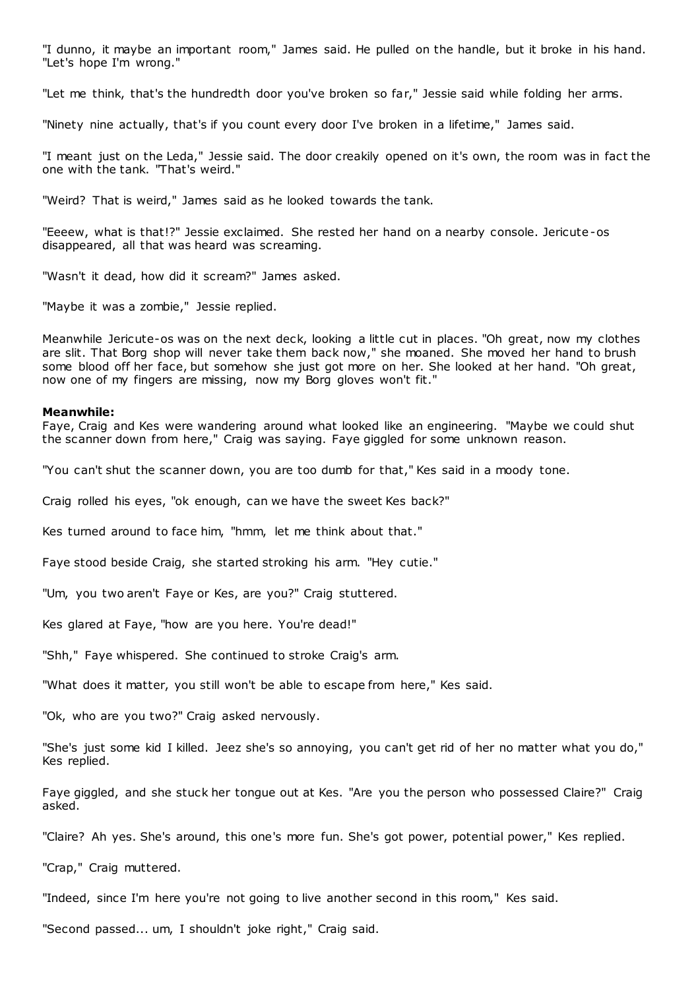"I dunno, it maybe an important room," James said. He pulled on the handle, but it broke in his hand. "Let's hope I'm wrong."

"Let me think, that's the hundredth door you've broken so far," Jessie said while folding her arms.

"Ninety nine actually, that's if you count every door I've broken in a lifetime," James said.

"I meant just on the Leda," Jessie said. The door creakily opened on it's own, the room was in fact the one with the tank. "That's weird."

"Weird? That is weird," James said as he looked towards the tank.

"Eeeew, what is that!?" Jessie exclaimed. She rested her hand on a nearby console. Jericute-os disappeared, all that was heard was screaming.

"Wasn't it dead, how did it scream?" James asked.

"Maybe it was a zombie," Jessie replied.

Meanwhile Jericute-os was on the next deck, looking a little cut in places. "Oh great, now my clothes are slit. That Borg shop will never take them back now," she moaned. She moved her hand to brush some blood off her face, but somehow she just got more on her. She looked at her hand. "Oh great, now one of my fingers are missing, now my Borg gloves won't fit."

#### **Meanwhile:**

Faye, Craig and Kes were wandering around what looked like an engineering. "Maybe we could shut the scanner down from here," Craig was saying. Faye giggled for some unknown reason.

"You can't shut the scanner down, you are too dumb for that," Kes said in a moody tone.

Craig rolled his eyes, "ok enough, can we have the sweet Kes back?"

Kes turned around to face him, "hmm, let me think about that."

Faye stood beside Craig, she started stroking his arm. "Hey cutie."

"Um, you two aren't Faye or Kes, are you?" Craig stuttered.

Kes glared at Faye, "how are you here. You're dead!"

"Shh," Faye whispered. She continued to stroke Craig's arm.

"What does it matter, you still won't be able to escape from here," Kes said.

"Ok, who are you two?" Craig asked nervously.

"She's just some kid I killed. Jeez she's so annoying, you can't get rid of her no matter what you do," Kes replied.

Faye giggled, and she stuck her tongue out at Kes. "Are you the person who possessed Claire?" Craig asked.

"Claire? Ah yes. She's around, this one's more fun. She's got power, potential power," Kes replied.

"Crap," Craig muttered.

"Indeed, since I'm here you're not going to live another second in this room," Kes said.

"Second passed... um, I shouldn't joke right," Craig said.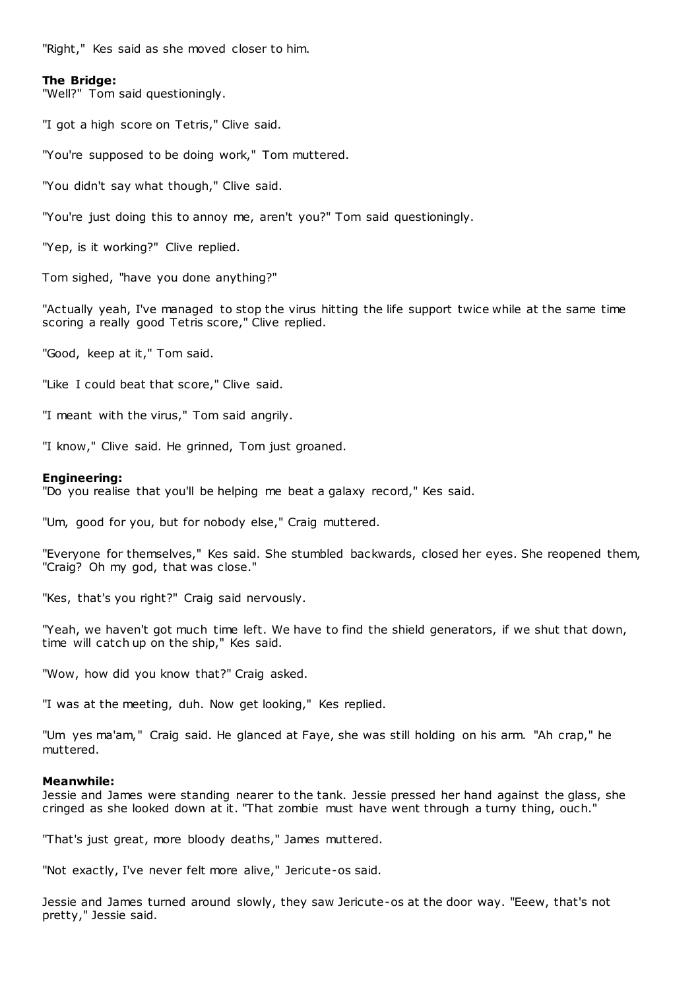"Right," Kes said as she moved closer to him.

## **The Bridge:**

"Well?" Tom said questioningly.

"I got a high score on Tetris," Clive said.

"You're supposed to be doing work," Tom muttered.

"You didn't say what though," Clive said.

"You're just doing this to annoy me, aren't you?" Tom said questioningly.

"Yep, is it working?" Clive replied.

Tom sighed, "have you done anything?"

"Actually yeah, I've managed to stop the virus hitting the life support twice while at the same time scoring a really good Tetris score," Clive replied.

"Good, keep at it," Tom said.

"Like I could beat that score," Clive said.

"I meant with the virus," Tom said angrily.

"I know," Clive said. He grinned, Tom just groaned.

#### **Engineering:**

"Do you realise that you'll be helping me beat a galaxy record," Kes said.

"Um, good for you, but for nobody else," Craig muttered.

"Everyone for themselves," Kes said. She stumbled backwards, closed her eyes. She reopened them, "Craig? Oh my god, that was close."

"Kes, that's you right?" Craig said nervously.

"Yeah, we haven't got much time left. We have to find the shield generators, if we shut that down, time will catch up on the ship," Kes said.

"Wow, how did you know that?" Craig asked.

"I was at the meeting, duh. Now get looking," Kes replied.

"Um yes ma'am," Craig said. He glanced at Faye, she was still holding on his arm. "Ah crap," he muttered.

#### **Meanwhile:**

Jessie and James were standing nearer to the tank. Jessie pressed her hand against the glass, she cringed as she looked down at it. "That zombie must have went through a turny thing, ouch."

"That's just great, more bloody deaths," James muttered.

"Not exactly, I've never felt more alive," Jericute-os said.

Jessie and James turned around slowly, they saw Jericute-os at the door way. "Eeew, that's not pretty," Jessie said.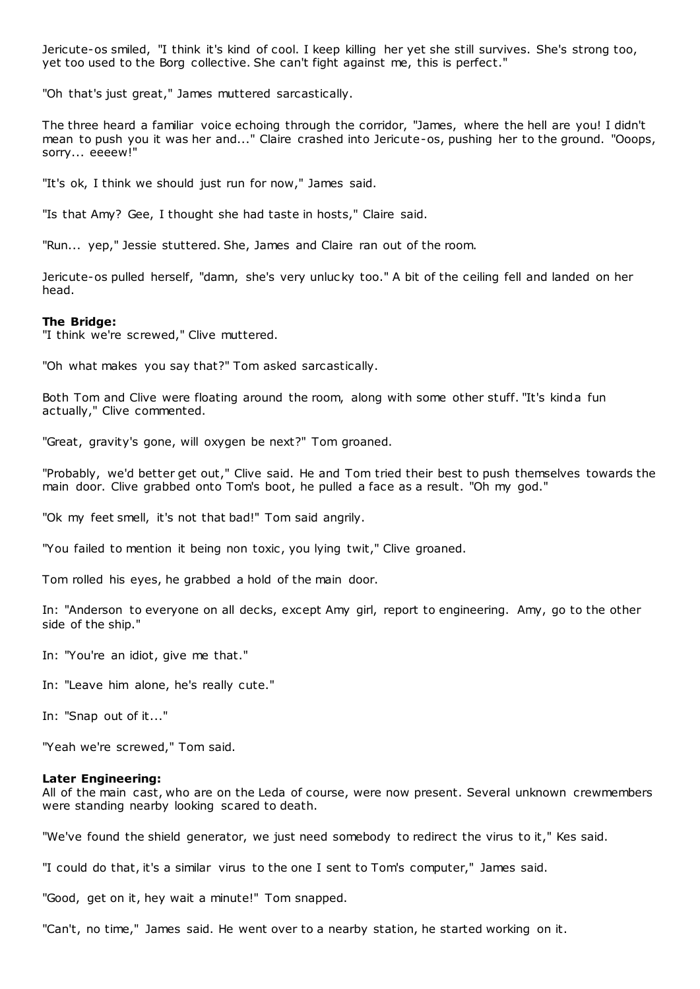Jericute-os smiled, "I think it's kind of cool. I keep killing her yet she still survives. She's strong too, yet too used to the Borg collective. She can't fight against me, this is perfect."

"Oh that's just great," James muttered sarcastically.

The three heard a familiar voice echoing through the corridor, "James, where the hell are you! I didn't mean to push you it was her and..." Claire crashed into Jericute-os, pushing her to the ground. "Ooops, sorry... eeeew!"

"It's ok, I think we should just run for now," James said.

"Is that Amy? Gee, I thought she had taste in hosts," Claire said.

"Run... yep," Jessie stuttered. She, James and Claire ran out of the room.

Jericute-os pulled herself, "damn, she's very unlucky too." A bit of the ceiling fell and landed on her head.

## **The Bridge:**

"I think we're screwed," Clive muttered.

"Oh what makes you say that?" Tom asked sarcastically.

Both Tom and Clive were floating around the room, along with some other stuff. "It's kinda fun actually," Clive commented.

"Great, gravity's gone, will oxygen be next?" Tom groaned.

"Probably, we'd better get out," Clive said. He and Tom tried their best to push themselves towards the main door. Clive grabbed onto Tom's boot, he pulled a face as a result. "Oh my god."

"Ok my feet smell, it's not that bad!" Tom said angrily.

"You failed to mention it being non toxic, you lying twit," Clive groaned.

Tom rolled his eyes, he grabbed a hold of the main door.

In: "Anderson to everyone on all decks, except Amy girl, report to engineering. Amy, go to the other side of the ship."

In: "You're an idiot, give me that."

In: "Leave him alone, he's really cute."

In: "Snap out of it..."

"Yeah we're screwed," Tom said.

#### **Later Engineering:**

All of the main cast, who are on the Leda of course, were now present. Several unknown crewmembers were standing nearby looking scared to death.

"We've found the shield generator, we just need somebody to redirect the virus to it," Kes said.

"I could do that, it's a similar virus to the one I sent to Tom's computer," James said.

"Good, get on it, hey wait a minute!" Tom snapped.

"Can't, no time," James said. He went over to a nearby station, he started working on it.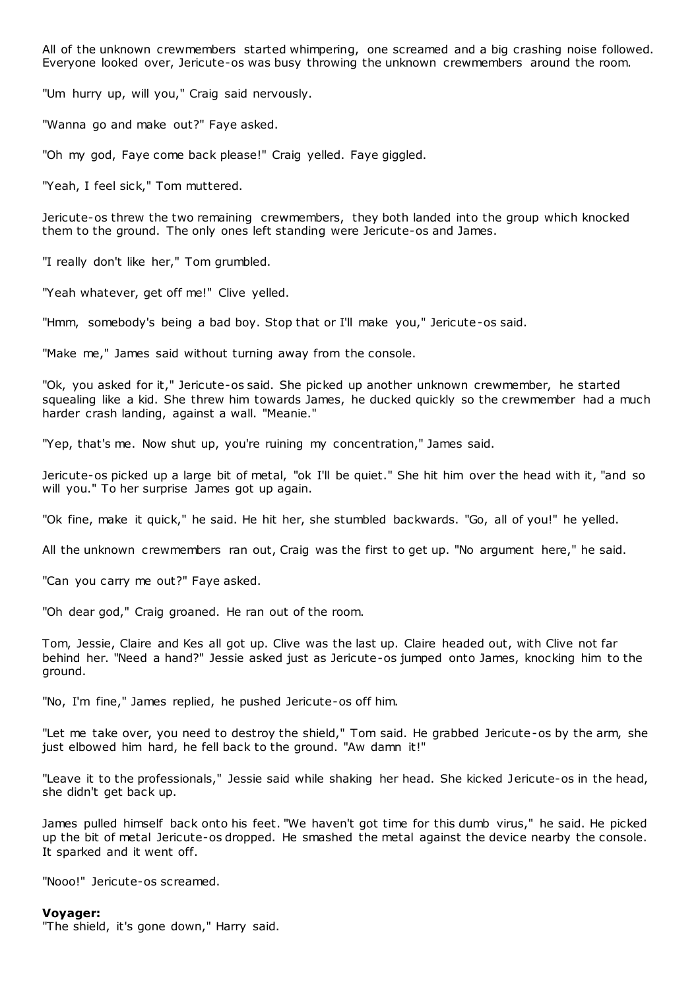All of the unknown crewmembers started whimpering, one screamed and a big crashing noise followed. Everyone looked over, Jericute-os was busy throwing the unknown crewmembers around the room.

"Um hurry up, will you," Craig said nervously.

"Wanna go and make out?" Faye asked.

"Oh my god, Faye come back please!" Craig yelled. Faye giggled.

"Yeah, I feel sick," Tom muttered.

Jericute-os threw the two remaining crewmembers, they both landed into the group which knocked them to the ground. The only ones left standing were Jericute-os and James.

"I really don't like her," Tom grumbled.

"Yeah whatever, get off me!" Clive yelled.

"Hmm, somebody's being a bad boy. Stop that or I'll make you," Jericute-os said.

"Make me," James said without turning away from the console.

"Ok, you asked for it," Jericute-os said. She picked up another unknown crewmember, he started squealing like a kid. She threw him towards James, he ducked quickly so the crewmember had a much harder crash landing, against a wall. "Meanie."

"Yep, that's me. Now shut up, you're ruining my concentration," James said.

Jericute-os picked up a large bit of metal, "ok I'll be quiet." She hit him over the head with it, "and so will you." To her surprise James got up again.

"Ok fine, make it quick," he said. He hit her, she stumbled backwards. "Go, all of you!" he yelled.

All the unknown crewmembers ran out, Craig was the first to get up. "No argument here," he said.

"Can you carry me out?" Faye asked.

"Oh dear god," Craig groaned. He ran out of the room.

Tom, Jessie, Claire and Kes all got up. Clive was the last up. Claire headed out, with Clive not far behind her. "Need a hand?" Jessie asked just as Jericute-os jumped onto James, knocking him to the ground.

"No, I'm fine," James replied, he pushed Jericute-os off him.

"Let me take over, you need to destroy the shield," Tom said. He grabbed Jericute-os by the arm, she just elbowed him hard, he fell back to the ground. "Aw damn it!"

"Leave it to the professionals," Jessie said while shaking her head. She kicked Jericute-os in the head, she didn't get back up.

James pulled himself back onto his feet. "We haven't got time for this dumb virus," he said. He picked up the bit of metal Jericute-os dropped. He smashed the metal against the device nearby the console. It sparked and it went off.

"Nooo!" Jericute-os screamed.

#### **Voyager:**

"The shield, it's gone down," Harry said.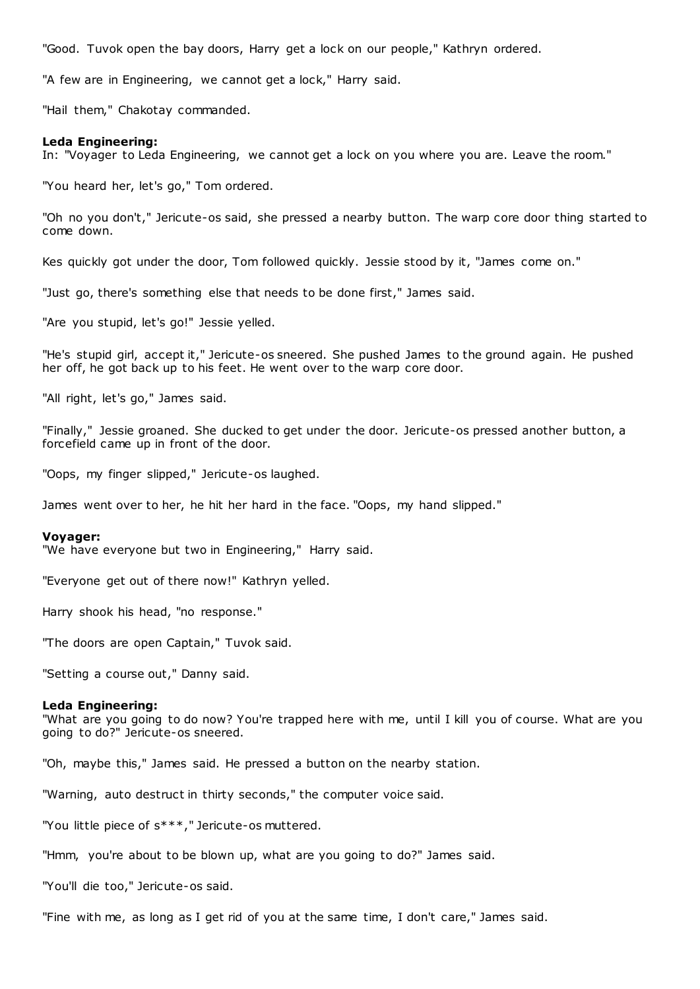"Good. Tuvok open the bay doors, Harry get a lock on our people," Kathryn ordered.

"A few are in Engineering, we cannot get a lock," Harry said.

"Hail them," Chakotay commanded.

## **Leda Engineering:**

In: "Voyager to Leda Engineering, we cannot get a lock on you where you are. Leave the room."

"You heard her, let's go," Tom ordered.

"Oh no you don't," Jericute-os said, she pressed a nearby button. The warp core door thing started to come down.

Kes quickly got under the door, Tom followed quickly. Jessie stood by it, "James come on."

"Just go, there's something else that needs to be done first," James said.

"Are you stupid, let's go!" Jessie yelled.

"He's stupid girl, accept it," Jericute-os sneered. She pushed James to the ground again. He pushed her off, he got back up to his feet. He went over to the warp core door.

"All right, let's go," James said.

"Finally," Jessie groaned. She ducked to get under the door. Jericute-os pressed another button, a forcefield came up in front of the door.

"Oops, my finger slipped," Jericute-os laughed.

James went over to her, he hit her hard in the face. "Oops, my hand slipped."

#### **Voyager:**

"We have everyone but two in Engineering," Harry said.

"Everyone get out of there now!" Kathryn yelled.

Harry shook his head, "no response."

"The doors are open Captain," Tuvok said.

"Setting a course out," Danny said.

#### **Leda Engineering:**

"What are you going to do now? You're trapped here with me, until I kill you of course. What are you going to do?" Jericute-os sneered.

"Oh, maybe this," James said. He pressed a button on the nearby station.

"Warning, auto destruct in thirty seconds," the computer voice said.

"You little piece of s\*\*\*," Jericute-os muttered.

"Hmm, you're about to be blown up, what are you going to do?" James said.

"You'll die too," Jericute-os said.

"Fine with me, as long as I get rid of you at the same time, I don't care," James said.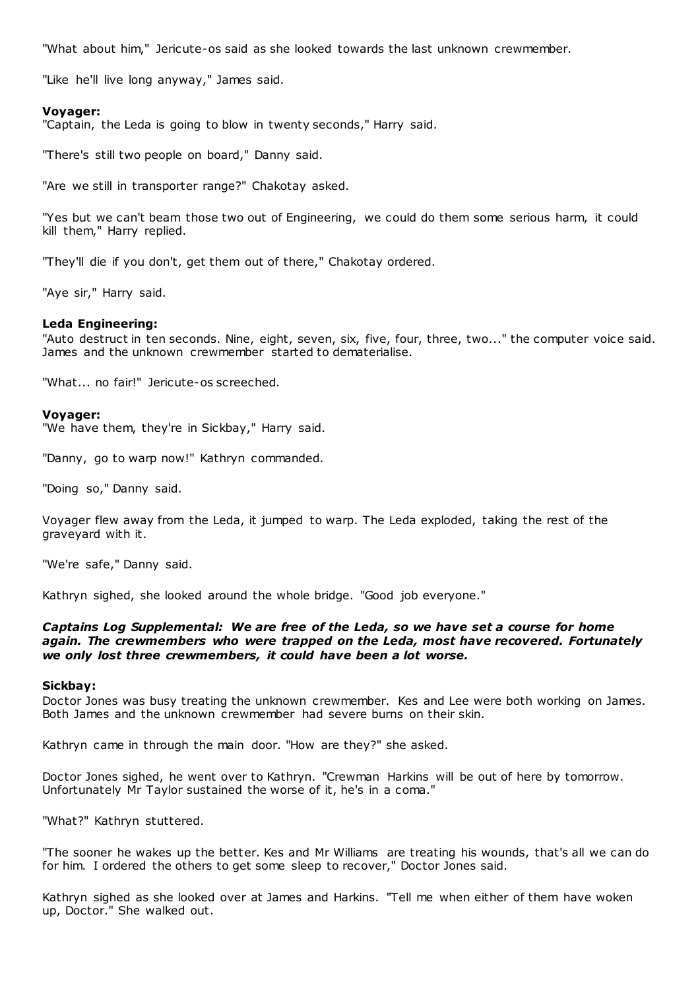"What about him," Jericute-os said as she looked towards the last unknown crewmember.

"Like he'll live long anyway," James said.

# **Voyager:**

"Captain, the Leda is going to blow in twenty seconds," Harry said.

"There's still two people on board," Danny said.

"Are we still in transporter range?" Chakotay asked.

"Yes but we can't beam those two out of Engineering, we could do them some serious harm, it could kill them," Harry replied.

"They'll die if you don't, get them out of there," Chakotay ordered.

"Aye sir," Harry said.

## **Leda Engineering:**

"Auto destruct in ten seconds. Nine, eight, seven, six, five, four, three, two..." the computer voice said. James and the unknown crewmember started to dematerialise.

"What... no fair!" Jericute-os screeched.

## **Voyager:**

"We have them, they're in Sickbay," Harry said.

"Danny, go to warp now!" Kathryn commanded.

"Doing so," Danny said.

Voyager flew away from the Leda, it jumped to warp. The Leda exploded, taking the rest of the graveyard with it.

"We're safe," Danny said.

Kathryn sighed, she looked around the whole bridge. "Good job everyone."

# *Captains Log Supplemental: We are free of the Leda, so we have set a course for home again. The crewmembers who were trapped on the Leda, most have recovered. Fortunately we only lost three crewmembers, it could have been a lot worse.*

#### **Sickbay:**

Doctor Jones was busy treating the unknown crewmember. Kes and Lee were both working on James. Both James and the unknown crewmember had severe burns on their skin.

Kathryn came in through the main door. "How are they?" she asked.

Doctor Jones sighed, he went over to Kathryn. "Crewman Harkins will be out of here by tomorrow. Unfortunately Mr Taylor sustained the worse of it, he's in a coma."

"What?" Kathryn stuttered.

"The sooner he wakes up the better. Kes and Mr Williams are treating his wounds, that's all we can do for him. I ordered the others to get some sleep to recover," Doctor Jones said.

Kathryn sighed as she looked over at James and Harkins. "Tell me when either of them have woken up, Doctor." She walked out.